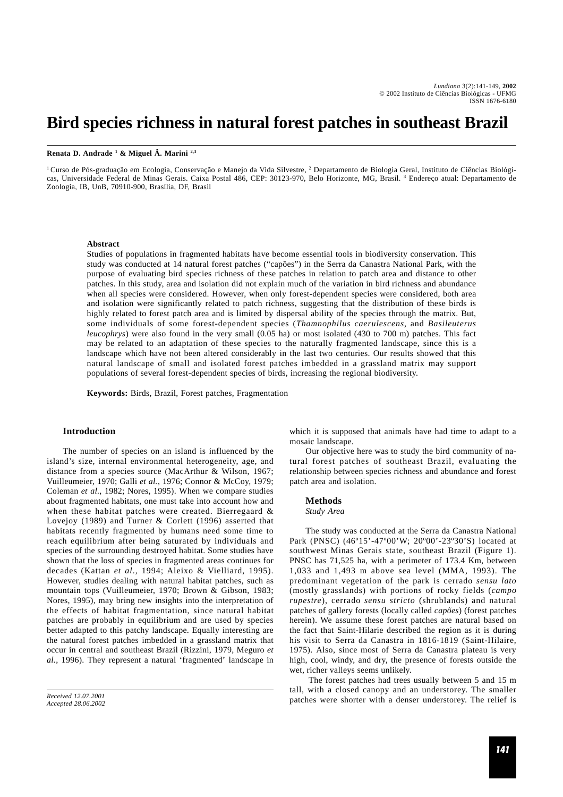# **Bird species richness in natural forest patches in southeast Brazil**

#### **Renata D. Andrade 1 & Miguel Â. Marini 2,3**

<sup>1</sup> Curso de Pós-graduação em Ecologia, Conservação e Manejo da Vida Silvestre, <sup>2</sup> Departamento de Biologia Geral, Instituto de Ciências Biológicas, Universidade Federal de Minas Gerais. Caixa Postal 486, CEP: 30123-970, Belo Horizonte, MG, Brasil.<sup>3</sup> Endereço atual: Departamento de Zoologia, IB, UnB, 70910-900, Brasília, DF, Brasil

#### **Abstract**

Studies of populations in fragmented habitats have become essential tools in biodiversity conservation. This study was conducted at 14 natural forest patches ("capões") in the Serra da Canastra National Park, with the purpose of evaluating bird species richness of these patches in relation to patch area and distance to other patches. In this study, area and isolation did not explain much of the variation in bird richness and abundance when all species were considered. However, when only forest-dependent species were considered, both area and isolation were significantly related to patch richness, suggesting that the distribution of these birds is highly related to forest patch area and is limited by dispersal ability of the species through the matrix. But, some individuals of some forest-dependent species (*Thamnophilus caerulescens*, and *Basileuterus leucophrys*) were also found in the very small (0.05 ha) or most isolated (430 to 700 m) patches. This fact may be related to an adaptation of these species to the naturally fragmented landscape, since this is a landscape which have not been altered considerably in the last two centuries. Our results showed that this natural landscape of small and isolated forest patches imbedded in a grassland matrix may support populations of several forest-dependent species of birds, increasing the regional biodiversity.

**Keywords:** Birds, Brazil, Forest patches, Fragmentation

## **Introduction**

The number of species on an island is influenced by the island's size, internal environmental heterogeneity, age, and distance from a species source (MacArthur & Wilson, 1967; Vuilleumeier, 1970; Galli *et al.*, 1976; Connor & McCoy, 1979; Coleman *et al.*, 1982; Nores, 1995). When we compare studies about fragmented habitats, one must take into account how and when these habitat patches were created. Bierregaard & Lovejoy (1989) and Turner & Corlett (1996) asserted that habitats recently fragmented by humans need some time to reach equilibrium after being saturated by individuals and species of the surrounding destroyed habitat. Some studies have shown that the loss of species in fragmented areas continues for decades (Kattan *et al*., 1994; Aleixo & Vielliard, 1995). However, studies dealing with natural habitat patches, such as mountain tops (Vuilleumeier, 1970; Brown & Gibson, 1983; Nores, 1995), may bring new insights into the interpretation of the effects of habitat fragmentation, since natural habitat patches are probably in equilibrium and are used by species better adapted to this patchy landscape. Equally interesting are the natural forest patches imbedded in a grassland matrix that occur in central and southeast Brazil (Rizzini, 1979, Meguro *et al.*, 1996). They represent a natural 'fragmented' landscape in which it is supposed that animals have had time to adapt to a mosaic landscape.

Our objective here was to study the bird community of natural forest patches of southeast Brazil, evaluating the relationship between species richness and abundance and forest patch area and isolation.

#### **Methods**

*Study Area*

The study was conducted at the Serra da Canastra National Park (PNSC) (46º15'-47º00'W; 20º00'-23º30'S) located at southwest Minas Gerais state, southeast Brazil (Figure 1). PNSC has 71,525 ha, with a perimeter of 173.4 Km, between 1,033 and 1,493 m above sea level (MMA, 1993). The predominant vegetation of the park is cerrado *sensu lato* (mostly grasslands) with portions of rocky fields (*campo rupestre*), cerrado *sensu stricto* (shrublands) and natural patches of gallery forests (locally called *capões*) (forest patches herein). We assume these forest patches are natural based on the fact that Saint-Hilarie described the region as it is during his visit to Serra da Canastra in 1816-1819 (Saint-Hilaire, 1975). Also, since most of Serra da Canastra plateau is very high, cool, windy, and dry, the presence of forests outside the wet, richer valleys seems unlikely.

 The forest patches had trees usually between 5 and 15 m tall, with a closed canopy and an understorey. The smaller patches were shorter with a denser understorey. The relief is

*Received 12.07.2001 Accepted 28.06.2002*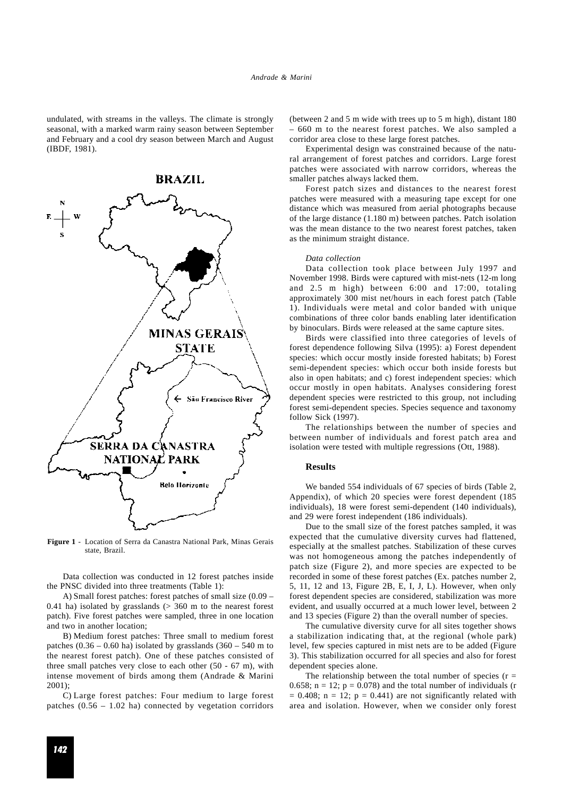undulated, with streams in the valleys. The climate is strongly seasonal, with a marked warm rainy season between September and February and a cool dry season between March and August (IBDF, 1981).



**Figure 1** - Location of Serra da Canastra National Park, Minas Gerais state, Brazil.

Data collection was conducted in 12 forest patches inside the PNSC divided into three treatments (Table 1):

A) Small forest patches: forest patches of small size (0.09 – 0.41 ha) isolated by grasslands  $(> 360 \text{ m}$  to the nearest forest patch). Five forest patches were sampled, three in one location and two in another location;

B) Medium forest patches: Three small to medium forest patches  $(0.36 - 0.60 \text{ ha})$  isolated by grasslands  $(360 - 540 \text{ m})$  to the nearest forest patch). One of these patches consisted of three small patches very close to each other (50 - 67 m), with intense movement of birds among them (Andrade & Marini 2001);

C) Large forest patches: Four medium to large forest patches  $(0.56 - 1.02$  ha) connected by vegetation corridors (between 2 and 5 m wide with trees up to 5 m high), distant 180 – 660 m to the nearest forest patches. We also sampled a corridor area close to these large forest patches.

Experimental design was constrained because of the natural arrangement of forest patches and corridors. Large forest patches were associated with narrow corridors, whereas the smaller patches always lacked them.

Forest patch sizes and distances to the nearest forest patches were measured with a measuring tape except for one distance which was measured from aerial photographs because of the large distance (1.180 m) between patches. Patch isolation was the mean distance to the two nearest forest patches, taken as the minimum straight distance.

## *Data collection*

Data collection took place between July 1997 and November 1998. Birds were captured with mist-nets (12-m long and 2.5 m high) between 6:00 and 17:00, totaling approximately 300 mist net/hours in each forest patch (Table 1). Individuals were metal and color banded with unique combinations of three color bands enabling later identification by binoculars. Birds were released at the same capture sites.

Birds were classified into three categories of levels of forest dependence following Silva (1995): a) Forest dependent species: which occur mostly inside forested habitats; b) Forest semi-dependent species: which occur both inside forests but also in open habitats; and c) forest independent species: which occur mostly in open habitats. Analyses considering forest dependent species were restricted to this group, not including forest semi-dependent species. Species sequence and taxonomy follow Sick (1997).

The relationships between the number of species and between number of individuals and forest patch area and isolation were tested with multiple regressions (Ott, 1988).

### **Results**

We banded 554 individuals of 67 species of birds (Table 2, Appendix), of which 20 species were forest dependent (185 individuals), 18 were forest semi-dependent (140 individuals), and 29 were forest independent (186 individuals).

Due to the small size of the forest patches sampled, it was expected that the cumulative diversity curves had flattened, especially at the smallest patches. Stabilization of these curves was not homogeneous among the patches independently of patch size (Figure 2), and more species are expected to be recorded in some of these forest patches (Ex. patches number 2, 5, 11, 12 and 13, Figure 2B, E, I, J, L). However, when only forest dependent species are considered, stabilization was more evident, and usually occurred at a much lower level, between 2 and 13 species (Figure 2) than the overall number of species.

The cumulative diversity curve for all sites together shows a stabilization indicating that, at the regional (whole park) level, few species captured in mist nets are to be added (Figure 3). This stabilization occurred for all species and also for forest dependent species alone.

The relationship between the total number of species  $(r =$ 0.658;  $n = 12$ ;  $p = 0.078$ ) and the total number of individuals (r  $= 0.408$ ; n = 12; p = 0.441) are not significantly related with area and isolation. However, when we consider only forest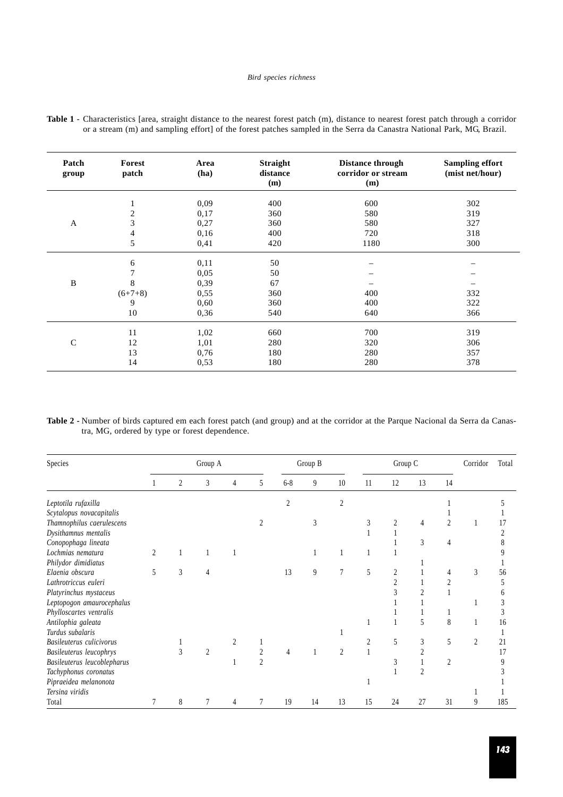| Patch<br>group | Forest<br>patch | Area<br>(ha) | <b>Straight</b><br>distance<br>(m) | <b>Distance through</b><br>corridor or stream<br>(m) | <b>Sampling effort</b><br>(mist net/hour) |
|----------------|-----------------|--------------|------------------------------------|------------------------------------------------------|-------------------------------------------|
|                |                 | 0,09         | 400                                | 600                                                  | 302                                       |
|                | 2               | 0,17         | 360                                | 580                                                  | 319                                       |
| A              | 3               | 0,27         | 360                                | 580                                                  | 327                                       |
|                | 4               | 0,16         | 400                                | 720                                                  | 318                                       |
|                | 5               | 0,41         | 420                                | 1180                                                 | 300                                       |
|                | 6               | 0,11         | 50                                 |                                                      |                                           |
|                | 7               | 0,05         | 50                                 |                                                      |                                           |
| B              | 8               | 0,39         | 67                                 |                                                      |                                           |
|                | $(6+7+8)$       | 0,55         | 360                                | 400                                                  | 332                                       |
|                | 9               | 0,60         | 360                                | 400                                                  | 322                                       |
|                | 10              | 0,36         | 540                                | 640                                                  | 366                                       |
|                | 11              | 1,02         | 660                                | 700                                                  | 319                                       |
| $\mathsf{C}$   | 12              | 1,01         | 280                                | 320                                                  | 306                                       |
|                | 13              | 0,76         | 180                                | 280                                                  | 357                                       |
|                | 14              | 0,53         | 180                                | 280                                                  | 378                                       |

**Table 1** - Characteristics [area, straight distance to the nearest forest patch (m), distance to nearest forest patch through a corridor or a stream (m) and sampling effort] of the forest patches sampled in the Serra da Canastra National Park, MG, Brazil.

**Table 2 -** Number of birds captured em each forest patch (and group) and at the corridor at the Parque Nacional da Serra da Canastra, MG, ordered by type or forest dependence.

| Species                     | Group A |   |                | Group B        |                | Group C        |    |                |    | Corridor       | Total        |    |   |     |
|-----------------------------|---------|---|----------------|----------------|----------------|----------------|----|----------------|----|----------------|--------------|----|---|-----|
|                             |         | 2 | 3              | 4              | 5              | $6 - 8$        | 9  | 10             | 11 | 12             | 13           | 14 |   |     |
| Leptotila rufaxilla         |         |   |                |                |                | $\overline{2}$ |    | $\overline{2}$ |    |                |              |    |   |     |
| Scytalopus novacapitalis    |         |   |                |                |                |                |    |                |    |                |              |    |   |     |
| Thamnophilus caerulescens   |         |   |                |                |                |                | 3  |                |    | 2              | 4            |    |   |     |
| Dysithamnus mentalis        |         |   |                |                |                |                |    |                |    |                |              |    |   |     |
| Conopophaga lineata         |         |   |                |                |                |                |    |                |    |                | 3            |    |   |     |
| Lochmias nematura           | 2       |   |                |                |                |                |    |                |    |                |              |    |   |     |
| Philydor dimidiatus         |         |   |                |                |                |                |    |                |    |                |              |    |   |     |
| Elaenia obscura             | 5       | 3 | Δ              |                |                | 13             | 9  | 7              | 5  | $\overline{2}$ |              | 4  | 3 | 56  |
| Lathrotriccus euleri        |         |   |                |                |                |                |    |                |    |                |              |    |   |     |
| Platyrinchus mystaceus      |         |   |                |                |                |                |    |                |    |                |              |    |   |     |
| Leptopogon amaurocephalus   |         |   |                |                |                |                |    |                |    |                |              |    |   | 3   |
| Phylloscartes ventralis     |         |   |                |                |                |                |    |                |    |                |              |    |   | 3   |
| Antilophia galeata          |         |   |                |                |                |                |    |                |    |                | 5            | 8  | 1 | 16  |
| Turdus subalaris            |         |   |                |                |                |                |    |                |    |                |              |    |   |     |
| Basileuterus culicivorus    |         |   |                | $\mathfrak{D}$ |                |                |    |                | 2  | 5              | 3            | 5  | 2 | 21  |
| Basileuterus leucophrys     |         | 3 | $\overline{c}$ |                |                | 4              |    | $\mathfrak{D}$ |    |                |              |    |   | 17  |
| Basileuterus leucoblepharus |         |   |                |                | $\mathfrak{D}$ |                |    |                |    | 3              |              |    |   | 9   |
| Tachyphonus coronatus       |         |   |                |                |                |                |    |                |    |                | <sup>1</sup> |    |   |     |
| Pipraeidea melanonota       |         |   |                |                |                |                |    |                |    |                |              |    |   |     |
| Tersina viridis             |         |   |                |                |                |                |    |                |    |                |              |    |   |     |
| Total                       |         | 8 |                |                |                | 19             | 14 | 13             | 15 | 24             | 27           | 31 | 9 | 185 |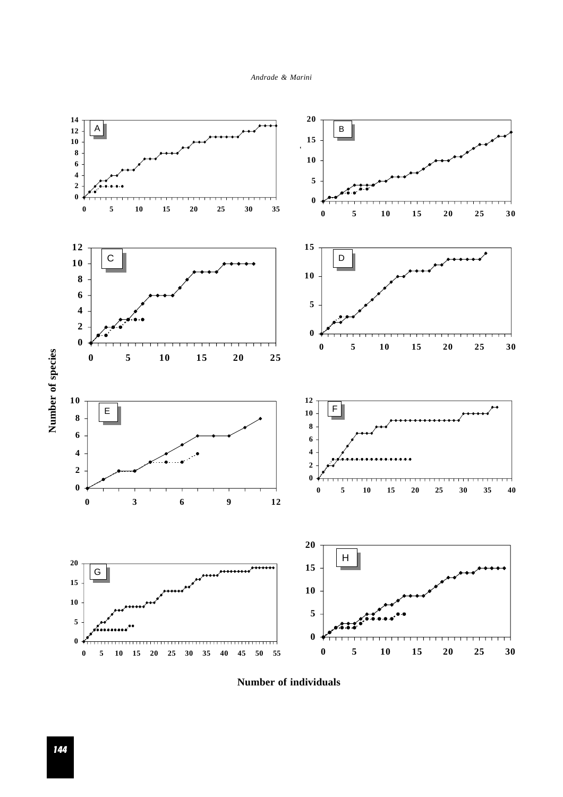

**Number of individuals**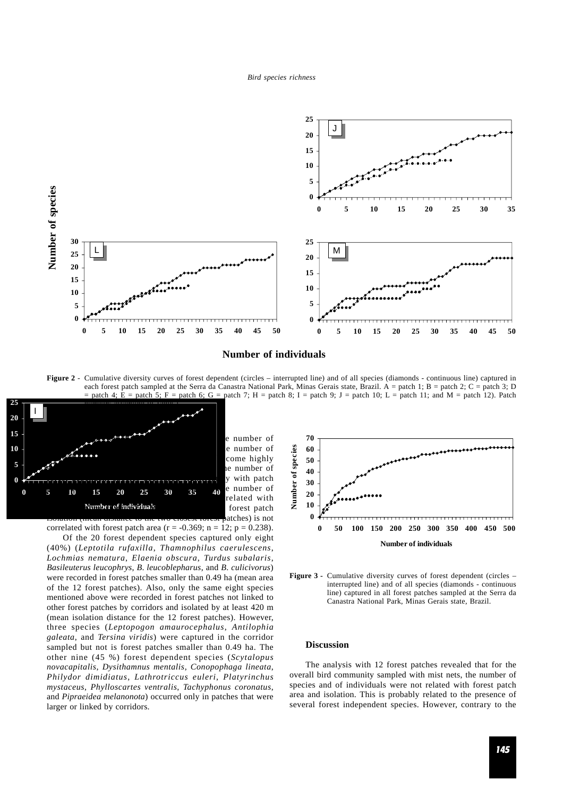

**Number of individuals**

Figure 2 - Cumulative diversity curves of forest dependent (circles – interrupted line) and of all species (diamonds - continuous line) captured in each forest patch sampled at the Serra da Canastra National Park, Minas Gerais state, Brazil. A = patch 1; B = patch 2; C = patch 3; D patch 5; F = patch 6; G = patch 7; H = patch 8; I = patch 9; J = patch 10; L = patch 11; and M = patch 12). Patch



correlated with forest patch area ( $r = -0.369$ ;  $n = 12$ ;  $p = 0.238$ ). Of the 20 forest dependent species captured only eight (40%) (*Leptotila rufaxilla*, *Thamnophilus caerulescens*, *Lochmias nematura*, *Elaenia obscura*, *Turdus subalaris*, *Basileuterus leucophrys*, *B*. *leucoblepharus*, and *B*. *culicivorus*) were recorded in forest patches smaller than 0.49 ha (mean area of the 12 forest patches). Also, only the same eight species mentioned above were recorded in forest patches not linked to other forest patches by corridors and isolated by at least 420 m (mean isolation distance for the 12 forest patches). However, three species (*Leptopogon amaurocephalus*, *Antilophia galeata*, and *Tersina viridis*) were captured in the corridor sampled but not is forest patches smaller than 0.49 ha. The other nine (45 %) forest dependent species (*Scytalopus novacapitalis*, *Dysithamnus mentalis*, *Conopophaga lineata*, *Philydor dimidiatus*, *Lathrotriccus euleri*, *Platyrinchus mystaceus*, *Phylloscartes ventralis*, *Tachyphonus coronatus*, and *Pipraeidea melanonota*) occurred only in patches that were larger or linked by corridors.



**Figure 3 -** Cumulative diversity curves of forest dependent (circles – interrupted line) and of all species (diamonds - continuous line) captured in all forest patches sampled at the Serra da Canastra National Park, Minas Gerais state, Brazil.

#### **Discussion**

The analysis with 12 forest patches revealed that for the overall bird community sampled with mist nets, the number of species and of individuals were not related with forest patch area and isolation. This is probably related to the presence of several forest independent species. However, contrary to the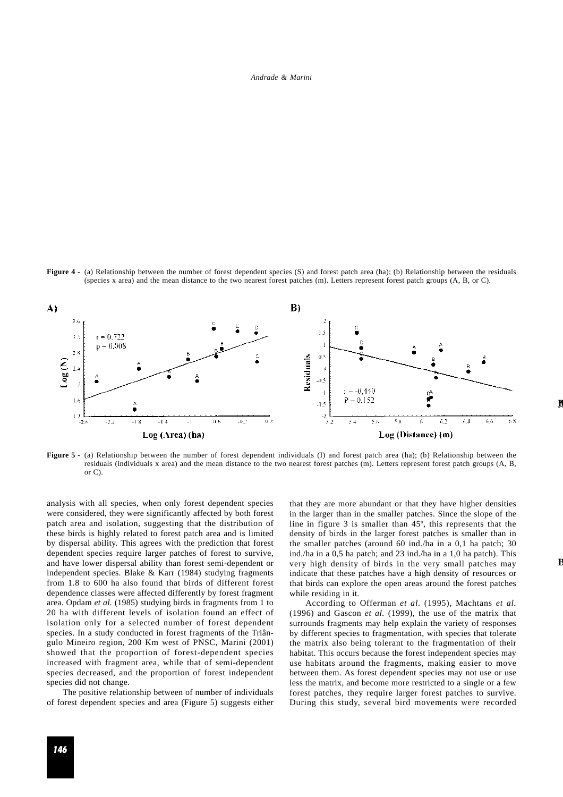## *Andrade & Marini*

**Figure 4 -** (a) Relationship between the number of forest dependent species (S) and forest patch area (ha); (b) Relationship between the residuals (species x area) and the mean distance to the two nearest forest patches (m). Letters represent forest patch groups (A, B, or C).



**Figure 5 -** (a) Relationship between the number of forest dependent individuals (I) and forest patch area (ha); (b) Relationship between the residuals (individuals x area) and the mean distance to the two nearest forest patches (m). Letters represent forest patch groups (A, B, or C).

analysis with all species, when only forest dependent species were considered, they were significantly affected by both forest patch area and isolation, suggesting that the distribution of these birds is highly related to forest patch area and is limited by dispersal ability. This agrees with the prediction that forest dependent species require larger patches of forest to survive, and have lower dispersal ability than forest semi-dependent or independent species. Blake & Karr (1984) studying fragments from 1.8 to 600 ha also found that birds of different forest dependence classes were affected differently by forest fragment area. Opdam *et al.* (1985) studying birds in fragments from 1 to 20 ha with different levels of isolation found an effect of isolation only for a selected number of forest dependent species. In a study conducted in forest fragments of the Triângulo Mineiro region, 200 Km west of PNSC, Marini (2001) showed that the proportion of forest-dependent species increased with fragment area, while that of semi-dependent species decreased, and the proportion of forest independent species did not change.

The positive relationship between of number of individuals of forest dependent species and area (Figure 5) suggests either that they are more abundant or that they have higher densities in the larger than in the smaller patches. Since the slope of the line in figure  $3$  is smaller than  $45^{\circ}$ , this represents that the density of birds in the larger forest patches is smaller than in the smaller patches (around 60 ind./ha in a 0,1 ha patch; 30 ind./ha in a 0,5 ha patch; and 23 ind./ha in a 1,0 ha patch). This very high density of birds in the very small patches may indicate that these patches have a high density of resources or that birds can explore the open areas around the forest patches while residing in it.

**A**

**B**

**B**

According to Offerman *et al.* (1995), Machtans *et al.* (1996) and Gascon *et al.* (1999), the use of the matrix that surrounds fragments may help explain the variety of responses by different species to fragmentation, with species that tolerate the matrix also being tolerant to the fragmentation of their habitat. This occurs because the forest independent species may use habitats around the fragments, making easier to move between them. As forest dependent species may not use or use less the matrix, and become more restricted to a single or a few forest patches, they require larger forest patches to survive. During this study, several bird movements were recorded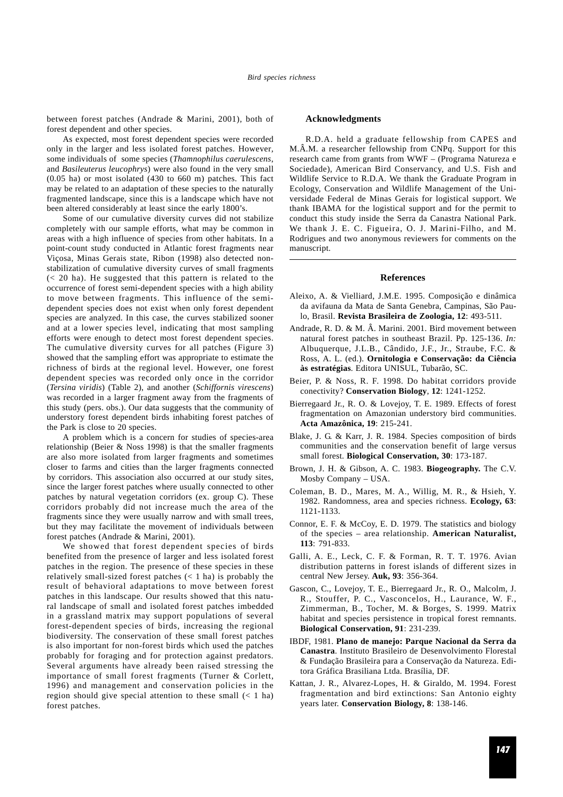between forest patches (Andrade & Marini, 2001), both of forest dependent and other species.

As expected, most forest dependent species were recorded only in the larger and less isolated forest patches. However*,* some individuals of some species (*Thamnophilus caerulescens*, and *Basileuterus leucophrys*) were also found in the very small (0.05 ha) or most isolated (430 to 660 m) patches. This fact may be related to an adaptation of these species to the naturally fragmented landscape, since this is a landscape which have not been altered considerably at least since the early 1800's.

Some of our cumulative diversity curves did not stabilize completely with our sample efforts, what may be common in areas with a high influence of species from other habitats. In a point-count study conducted in Atlantic forest fragments near Viçosa, Minas Gerais state, Ribon (1998) also detected nonstabilization of cumulative diversity curves of small fragments (< 20 ha). He suggested that this pattern is related to the occurrence of forest semi-dependent species with a high ability to move between fragments. This influence of the semidependent species does not exist when only forest dependent species are analyzed. In this case, the curves stabilized sooner and at a lower species level, indicating that most sampling efforts were enough to detect most forest dependent species. The cumulative diversity curves for all patches (Figure 3) showed that the sampling effort was appropriate to estimate the richness of birds at the regional level. However, one forest dependent species was recorded only once in the corridor (*Tersina viridis*) (Table 2), and another (*Schiffornis virescens*) was recorded in a larger fragment away from the fragments of this study (pers. obs.). Our data suggests that the community of understory forest dependent birds inhabiting forest patches of the Park is close to 20 species.

A problem which is a concern for studies of species-area relationship (Beier & Noss 1998) is that the smaller fragments are also more isolated from larger fragments and sometimes closer to farms and cities than the larger fragments connected by corridors. This association also occurred at our study sites, since the larger forest patches where usually connected to other patches by natural vegetation corridors (ex. group C). These corridors probably did not increase much the area of the fragments since they were usually narrow and with small trees, but they may facilitate the movement of individuals between forest patches (Andrade & Marini, 2001).

We showed that forest dependent species of birds benefited from the presence of larger and less isolated forest patches in the region. The presence of these species in these relatively small-sized forest patches  $(< 1$  ha) is probably the result of behavioral adaptations to move between forest patches in this landscape. Our results showed that this natural landscape of small and isolated forest patches imbedded in a grassland matrix may support populations of several forest-dependent species of birds, increasing the regional biodiversity. The conservation of these small forest patches is also important for non-forest birds which used the patches probably for foraging and for protection against predators. Several arguments have already been raised stressing the importance of small forest fragments (Turner & Corlett, 1996) and management and conservation policies in the region should give special attention to these small  $(< 1$  ha) forest patches.

# **Acknowledgments**

R.D.A. held a graduate fellowship from CAPES and M.Â.M. a researcher fellowship from CNPq. Support for this research came from grants from WWF – (Programa Natureza e Sociedade), American Bird Conservancy, and U.S. Fish and Wildlife Service to R.D.A. We thank the Graduate Program in Ecology, Conservation and Wildlife Management of the Universidade Federal de Minas Gerais for logistical support. We thank IBAMA for the logistical support and for the permit to conduct this study inside the Serra da Canastra National Park. We thank J. E. C. Figueira, O. J. Marini-Filho, and M. Rodrigues and two anonymous reviewers for comments on the manuscript.

#### **References**

- Aleixo, A. & Vielliard, J.M.E. 1995. Composição e dinâmica da avifauna da Mata de Santa Genebra, Campinas, São Paulo, Brasil. **Revista Brasileira de Zoologia, 12**: 493-511.
- Andrade, R. D. & M. Â. Marini. 2001. Bird movement between natural forest patches in southeast Brazil. Pp. 125-136. *In:* Albuquerque, J.L.B., Cândido, J.F., Jr., Straube, F.C. & Ross, A. L. (ed.). **Ornitologia e Conservação: da Ciência às estratégias**. Editora UNISUL, Tubarão, SC.
- Beier, P. & Noss, R. F. 1998. Do habitat corridors provide conectivity? **Conservation Biology**, **12**: 1241-1252.
- Bierregaard Jr., R. O. & Lovejoy, T. E. 1989. Effects of forest fragmentation on Amazonian understory bird communities. **Acta Amazônica, 19**: 215-241.
- Blake, J. G. & Karr, J. R. 1984. Species composition of birds communities and the conservation benefit of large versus small forest. **Biological Conservation, 30**: 173-187.
- Brown, J. H. & Gibson, A. C. 1983. **Biogeography.** The C.V. Mosby Company – USA.
- Coleman, B. D., Mares, M. A., Willig, M. R., & Hsieh, Y. 1982. Randomness, area and species richness. **Ecology, 63**: 1121-1133.
- Connor, E. F. & McCoy, E. D. 1979. The statistics and biology of the species – area relationship. **American Naturalist, 113**: 791-833.
- Galli, A. E., Leck, C. F. & Forman, R. T. T. 1976. Avian distribution patterns in forest islands of different sizes in central New Jersey. **Auk, 93**: 356-364.
- Gascon, C., Lovejoy, T. E., Bierregaard Jr., R. O., Malcolm, J. R., Stouffer, P. C., Vasconcelos, H., Laurance, W. F., Zimmerman, B., Tocher, M. & Borges, S. 1999. Matrix habitat and species persistence in tropical forest remnants. **Biological Conservation, 91**: 231-239.
- IBDF, 1981. **Plano de manejo: Parque Nacional da Serra da Canastra**. Instituto Brasileiro de Desenvolvimento Florestal & Fundação Brasileira para a Conservação da Natureza. Editora Gráfica Brasiliana Ltda. Brasília, DF.
- Kattan, J. R., Alvarez-Lopes, H. & Giraldo, M. 1994. Forest fragmentation and bird extinctions: San Antonio eighty years later. **Conservation Biology, 8**: 138-146.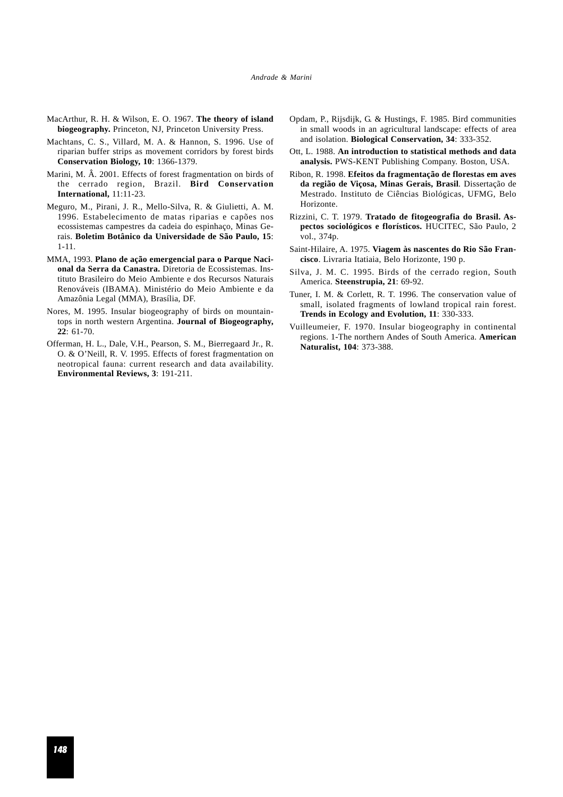- MacArthur, R. H. & Wilson, E. O. 1967. **The theory of island biogeography.** Princeton, NJ, Princeton University Press.
- Machtans, C. S., Villard, M. A. & Hannon, S. 1996. Use of riparian buffer strips as movement corridors by forest birds **Conservation Biology, 10**: 1366-1379.
- Marini, M. Â. 2001. Effects of forest fragmentation on birds of the cerrado region, Brazil. **Bird Conservation International,** 11:11-23.
- Meguro, M., Pirani, J. R., Mello-Silva, R. & Giulietti, A. M. 1996. Estabelecimento de matas riparias e capões nos ecossistemas campestres da cadeia do espinhaço, Minas Gerais. **Boletim Botânico da Universidade de São Paulo, 15**: 1-11.
- MMA, 1993. **Plano de ação emergencial para o Parque Nacional da Serra da Canastra.** Diretoria de Ecossistemas. Instituto Brasileiro do Meio Ambiente e dos Recursos Naturais Renováveis (IBAMA). Ministério do Meio Ambiente e da Amazônia Legal (MMA), Brasília, DF.
- Nores, M. 1995. Insular biogeography of birds on mountaintops in north western Argentina. **Journal of Biogeography, 22**: 61-70.
- Offerman, H. L., Dale, V.H., Pearson, S. M., Bierregaard Jr., R. O. & O'Neill, R. V. 1995. Effects of forest fragmentation on neotropical fauna: current research and data availability. **Environmental Reviews, 3**: 191-211.
- Opdam, P., Rijsdijk, G. & Hustings, F. 1985. Bird communities in small woods in an agricultural landscape: effects of area and isolation. **Biological Conservation, 34**: 333-352.
- Ott, L. 1988. **An introduction to statistical methods and data analysis.** PWS-KENT Publishing Company. Boston, USA.
- Ribon, R. 1998. **Efeitos da fragmentação de florestas em aves da região de Viçosa, Minas Gerais, Brasil***.* Dissertação de Mestrado. Instituto de Ciências Biológicas, UFMG, Belo Horizonte.
- Rizzini, C. T. 1979. **Tratado de fitogeografia do Brasil. Aspectos sociológicos e florísticos.** HUCITEC, São Paulo, 2 vol., 374p.
- Saint-Hilaire, A. 1975. **Viagem às nascentes do Rio São Francisco**. Livraria Itatiaia, Belo Horizonte, 190 p.
- Silva, J. M. C. 1995. Birds of the cerrado region, South America. **Steenstrupia, 21**: 69-92.
- Tuner, I. M. & Corlett, R. T. 1996. The conservation value of small, isolated fragments of lowland tropical rain forest. **Trends in Ecology and Evolution, 11**: 330-333.
- Vuilleumeier, F. 1970. Insular biogeography in continental regions. 1-The northern Andes of South America. **American Naturalist, 104**: 373-388.